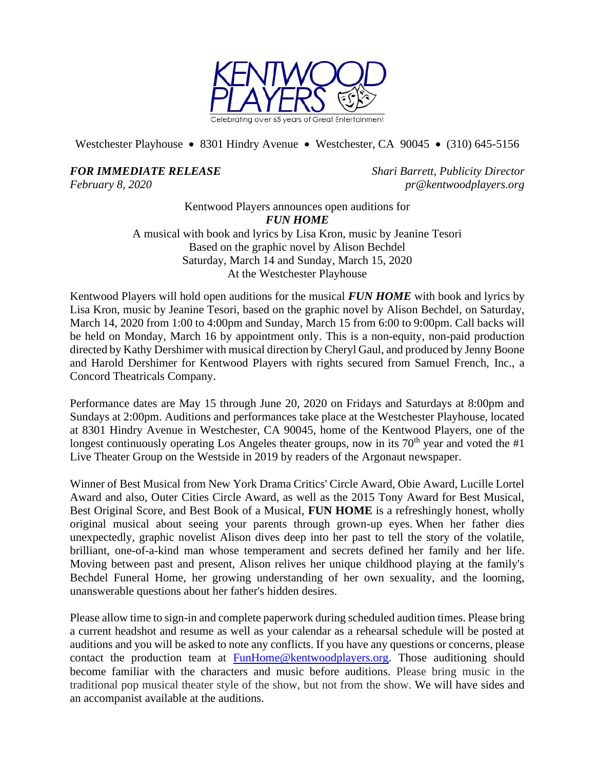

Westchester Playhouse • 8301 Hindry Avenue • Westchester, CA 90045 • (310) 645-5156

*FOR IMMEDIATE RELEASE Shari Barrett, Publicity Director*

*February 8, 2020 pr@kentwoodplayers.org*

Kentwood Players announces open auditions for *FUN HOME* A musical with book and lyrics by Lisa Kron, music by Jeanine Tesori Based on the graphic novel by Alison Bechdel Saturday, March 14 and Sunday, March 15, 2020 At the Westchester Playhouse

Kentwood Players will hold open auditions for the musical *FUN HOME* with book and lyrics by Lisa Kron, music by Jeanine Tesori, based on the graphic novel by Alison Bechdel, on Saturday, March 14, 2020 from 1:00 to 4:00pm and Sunday, March 15 from 6:00 to 9:00pm. Call backs will be held on Monday, March 16 by appointment only. This is a non-equity, non-paid production directed by Kathy Dershimer with musical direction by Cheryl Gaul, and produced by Jenny Boone and Harold Dershimer for Kentwood Players with rights secured from Samuel French, Inc., a Concord Theatricals Company.

Performance dates are May 15 through June 20, 2020 on Fridays and Saturdays at 8:00pm and Sundays at 2:00pm. Auditions and performances take place at the Westchester Playhouse, located at 8301 Hindry Avenue in Westchester, CA 90045, home of the Kentwood Players, one of the longest continuously operating Los Angeles theater groups, now in its  $70<sup>th</sup>$  year and voted the #1 Live Theater Group on the Westside in 2019 by readers of the Argonaut newspaper.

Winner of Best Musical from New York Drama Critics' Circle Award, Obie Award, Lucille Lortel Award and also, Outer Cities Circle Award, as well as the 2015 Tony Award for Best Musical, Best Original Score, and Best Book of a Musical, **FUN HOME** is a refreshingly honest, wholly original musical about seeing your parents through grown-up eyes. When her father dies unexpectedly, graphic novelist Alison dives deep into her past to tell the story of the volatile, brilliant, one-of-a-kind man whose temperament and secrets defined her family and her life. Moving between past and present, Alison relives her unique childhood playing at the family's Bechdel Funeral Home, her growing understanding of her own sexuality, and the looming, unanswerable questions about her father's hidden desires.

Please allow time to sign-in and complete paperwork during scheduled audition times. Please bring a current headshot and resume as well as your calendar as a rehearsal schedule will be posted at auditions and you will be asked to note any conflicts. If you have any questions or concerns, please contact the production team at [FunHome@kentwoodplayers.org.](mailto:FunHome@kentwoodplayers.org) Those auditioning should become familiar with the characters and music before auditions. Please bring music in the traditional pop musical theater style of the show, but not from the show. We will have sides and an accompanist available at the auditions.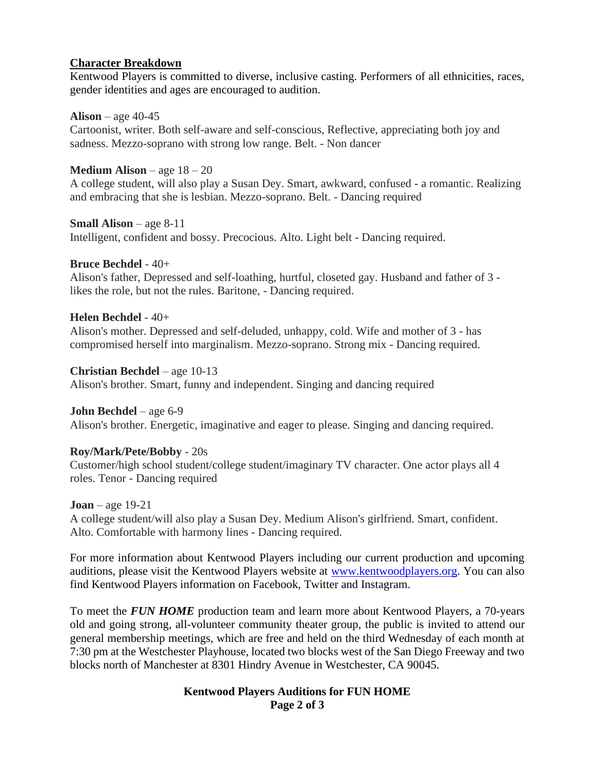### **Character Breakdown**

Kentwood Players is committed to diverse, inclusive casting. Performers of all ethnicities, races, gender identities and ages are encouraged to audition.

#### **Alison** – age 40-45

Cartoonist, writer. Both self-aware and self-conscious, Reflective, appreciating both joy and sadness. Mezzo-soprano with strong low range. Belt. - Non dancer

## **Medium Alison** – age 18 – 20

A college student, will also play a Susan Dey. Smart, awkward, confused - a romantic. Realizing and embracing that she is lesbian. Mezzo-soprano. Belt. - Dancing required

### **Small Alison** – age 8-11

Intelligent, confident and bossy. Precocious. Alto. Light belt - Dancing required.

## **Bruce Bechdel** - 40+

Alison's father, Depressed and self-loathing, hurtful, closeted gay. Husband and father of 3 likes the role, but not the rules. Baritone, - Dancing required.

## **Helen Bechdel** - 40+

Alison's mother. Depressed and self-deluded, unhappy, cold. Wife and mother of 3 - has compromised herself into marginalism. Mezzo-soprano. Strong mix - Dancing required.

## **Christian Bechdel** – age 10-13

Alison's brother. Smart, funny and independent. Singing and dancing required

### **John Bechdel** – age 6-9

Alison's brother. Energetic, imaginative and eager to please. Singing and dancing required.

# **Roy/Mark/Pete/Bobby** - 20s

Customer/high school student/college student/imaginary TV character. One actor plays all 4 roles. Tenor - Dancing required

**Joan** – age 19-21 A college student/will also play a Susan Dey. Medium Alison's girlfriend. Smart, confident. Alto. Comfortable with harmony lines - Dancing required.

For more information about Kentwood Players including our current production and upcoming auditions, please visit the Kentwood Players website at [www.kentwoodplayers.org.](http://www.kentwoodplayers.org/) You can also find Kentwood Players information on Facebook, Twitter and Instagram.

To meet the *FUN HOME* production team and learn more about Kentwood Players, a 70-years old and going strong, all-volunteer community theater group, the public is invited to attend our general membership meetings, which are free and held on the third Wednesday of each month at 7:30 pm at the Westchester Playhouse, located two blocks west of the San Diego Freeway and two blocks north of Manchester at 8301 Hindry Avenue in Westchester, CA 90045.

### **Kentwood Players Auditions for FUN HOME Page 2 of 3**